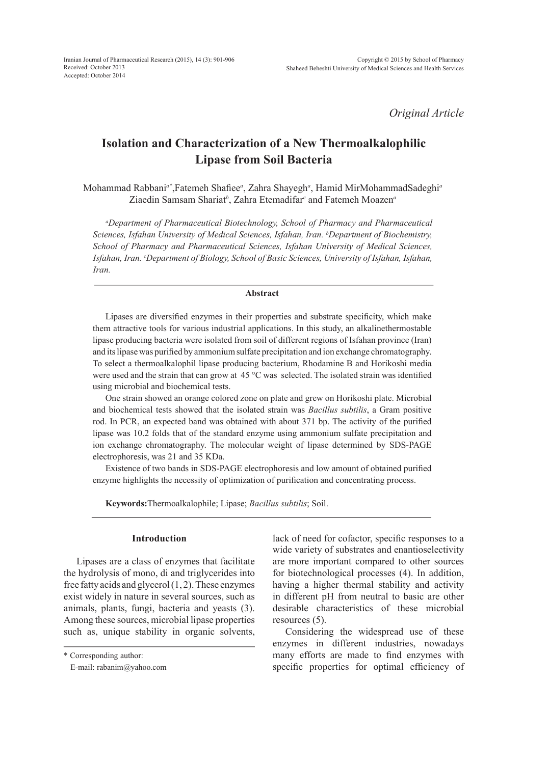*Original Article*

# **Isolation and Characterization of a New Thermoalkalophilic Lipase from Soil Bacteria**

Mohammad Rabbani*a\**,Fatemeh Shafiee*<sup>a</sup>* , Zahra Shayegh*<sup>a</sup>* , Hamid MirMohammadSadeghi*<sup>a</sup>* Ziaedin Samsam Shariat*<sup>b</sup>* , Zahra Etemadifar*<sup>c</sup>* and Fatemeh Moazen*<sup>a</sup>*

*a Department of Pharmaceutical Biotechnology, School of Pharmacy and Pharmaceutical Sciences, Isfahan University of Medical Sciences, Isfahan, Iran. b Department of Biochemistry, School of Pharmacy and Pharmaceutical Sciences, Isfahan University of Medical Sciences, Isfahan, Iran. c Department of Biology, School of Basic Sciences, University of Isfahan, Isfahan, Iran.*

## **Abstract**

Lipases are diversified enzymes in their properties and substrate specificity, which make them attractive tools for various industrial applications. In this study, an alkalinethermostable lipase producing bacteria were isolated from soil of different regions of Isfahan province (Iran) and its lipase was purified by ammonium sulfate precipitation and ion exchange chromatography. To select a thermoalkalophil lipase producing bacterium, Rhodamine B and Horikoshi media were used and the strain that can grow at 45 °C was selected. The isolated strain was identified using microbial and biochemical tests.

One strain showed an orange colored zone on plate and grew on Horikoshi plate. Microbial and biochemical tests showed that the isolated strain was *Bacillus subtilis*, a Gram positive rod. In PCR, an expected band was obtained with about 371 bp. The activity of the purified lipase was 10.2 folds that of the standard enzyme using ammonium sulfate precipitation and ion exchange chromatography. The molecular weight of lipase determined by SDS-PAGE electrophoresis, was 21 and 35 KDa.

Existence of two bands in SDS-PAGE electrophoresis and low amount of obtained purified enzyme highlights the necessity of optimization of purification and concentrating process.

**Keywords:**Thermoalkalophile; Lipase; *Bacillus subtilis*; Soil.

# **Introduction**

Lipases are a class of enzymes that facilitate the hydrolysis of mono, di and triglycerides into free fatty acids and glycerol (1, 2). These enzymes exist widely in nature in several sources, such as animals, plants, fungi, bacteria and yeasts (3). Among these sources, microbial lipase properties such as, unique stability in organic solvents, lack of need for cofactor, specific responses to a wide variety of substrates and enantioselectivity are more important compared to other sources for biotechnological processes (4). In addition, having a higher thermal stability and activity in different pH from neutral to basic are other desirable characteristics of these microbial resources (5).

Considering the widespread use of these enzymes in different industries, nowadays many efforts are made to find enzymes with specific properties for optimal efficiency of

<sup>\*</sup> Corresponding author:

E-mail: rabanim@yahoo.com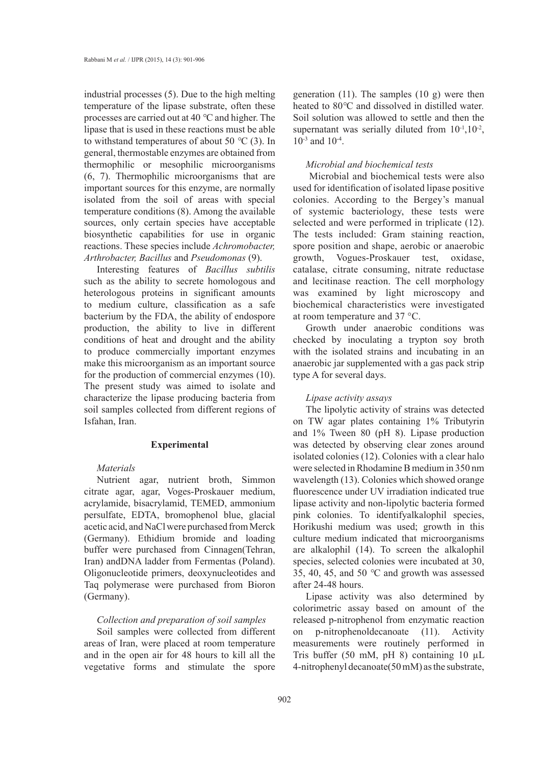industrial processes (5). Due to the high melting temperature of the lipase substrate, often these processes are carried out at 40 *°*C and higher. The lipase that is used in these reactions must be able to withstand temperatures of about 50 *°*C (3). In general, thermostable enzymes are obtained from thermophilic or mesophilic microorganisms (6, 7). Thermophilic microorganisms that are important sources for this enzyme, are normally isolated from the soil of areas with special temperature conditions (8). Among the available sources, only certain species have acceptable biosynthetic capabilities for use in organic reactions. These species include *Achromobacter, Arthrobacter, Bacillus* and *Pseudomonas* (9).

Interesting features of *Bacillus subtilis* such as the ability to secrete homologous and heterologous proteins in significant amounts to medium culture, classification as a safe bacterium by the FDA, the ability of endospore production, the ability to live in different conditions of heat and drought and the ability to produce commercially important enzymes make this microorganism as an important source for the production of commercial enzymes (10). The present study was aimed to isolate and characterize the lipase producing bacteria from soil samples collected from different regions of Isfahan, Iran.

#### **Experimental**

#### *Materials*

Nutrient agar, nutrient broth, Simmon citrate agar, agar, Voges-Proskauer medium, acrylamide, bisacrylamid, TEMED, ammonium persulfate, EDTA, bromophenol blue, glacial acetic acid, and NaCl were purchased from Merck (Germany). Ethidium bromide and loading buffer were purchased from Cinnagen(Tehran, Iran) andDNA ladder from Fermentas (Poland). Oligonucleotide primers, deoxynucleotides and Taq polymerase were purchased from Bioron (Germany).

# *Collection and preparation of soil samples*

Soil samples were collected from different areas of Iran, were placed at room temperature and in the open air for 48 hours to kill all the vegetative forms and stimulate the spore

generation (11). The samples (10 g) were then heated to 80*°*C and dissolved in distilled water*.* Soil solution was allowed to settle and then the supernatant was serially diluted from  $10^{-1}$ ,  $10^{-2}$ , 10-3 and 10-4.

#### *Microbial and biochemical tests*

 Microbial and biochemical tests were also used for identification of isolated lipase positive colonies. According to the Bergey's manual of systemic bacteriology, these tests were selected and were performed in triplicate (12). The tests included: Gram staining reaction, spore position and shape, aerobic or anaerobic growth, Vogues-Proskauer test, oxidase, catalase, citrate consuming, nitrate reductase and lecitinase reaction. The cell morphology was examined by light microscopy and biochemical characteristics were investigated at room temperature and 37 °C.

Growth under anaerobic conditions was checked by inoculating a trypton soy broth with the isolated strains and incubating in an anaerobic jar supplemented with a gas pack strip type A for several days.

## *Lipase activity assays*

The lipolytic activity of strains was detected on TW agar plates containing 1% Tributyrin and 1% Tween 80 (pH 8). Lipase production was detected by observing clear zones around isolated colonies (12). Colonies with a clear halo were selected in Rhodamine B medium in 350 nm wavelength (13). Colonies which showed orange fluorescence under UV irradiation indicated true lipase activity and non-lipolytic bacteria formed pink colonies. To identifyalkalophil species, Horikushi medium was used; growth in this culture medium indicated that microorganisms are alkalophil (14). To screen the alkalophil species, selected colonies were incubated at 30, 35, 40, 45, and 50 *°*C and growth was assessed after 24-48 hours.

Lipase activity was also determined by colorimetric assay based on amount of the released p-nitrophenol from enzymatic reaction on p-nitrophenoldecanoate (11). Activity measurements were routinely performed in Tris buffer (50 mM, pH 8) containing 10  $\mu$ L 4-nitrophenyl decanoate(50 mM) as the substrate,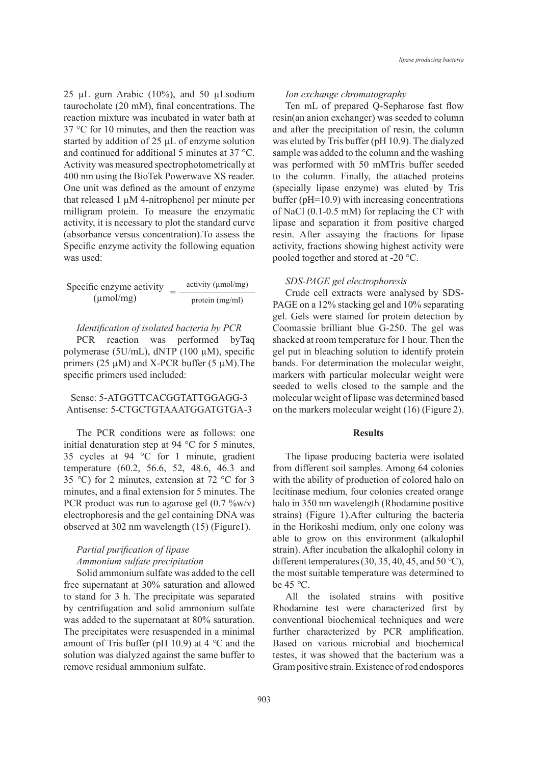25 µL gum Arabic (10%), and 50 µLsodium taurocholate (20 mM), final concentrations. The reaction mixture was incubated in water bath at 37 °C for 10 minutes, and then the reaction was started by addition of 25 µL of enzyme solution and continued for additional 5 minutes at 37 °C. Activity was measured spectrophotometrically at 400 nm using the BioTek Powerwave XS reader. One unit was defined as the amount of enzyme that released 1 µM 4-nitrophenol per minute per milligram protein. To measure the enzymatic activity, it is necessary to plot the standard curve (absorbance versus concentration).To assess the Specific enzyme activity the following equation was used:

Specific enzyme activity  $=$   $\frac{\text{activity (µmol/mg)}}{\text{protein (mg/ml)}}$ protein (mg/ml)

*Identification of isolated bacteria by PCR*

PCR reaction was performed byTaq polymerase (5U/mL), dNTP (100 µM), specific primers ( $25 \mu M$ ) and X-PCR buffer ( $5 \mu M$ ). The specific primers used included:

## Sense: 5-ATGGTTCACGGTATTGGAGG-3 Antisense: 5-CTGCTGTAAATGGATGTGA-3

The PCR conditions were as follows: one initial denaturation step at 94 °C for 5 minutes, 35 cycles at 94 °C for 1 minute, gradient temperature (60.2, 56.6, 52, 48.6, 46.3 and 35 *°*C) for 2 minutes, extension at 72 °C for 3 minutes, and a final extension for 5 minutes. The PCR product was run to agarose gel (0.7 %w/v) electrophoresis and the gel containing DNA was observed at 302 nm wavelength (15) (Figure1).

# *Partial purification of lipase Ammonium sulfate precipitation*

Solid ammonium sulfate was added to the cell free supernatant at 30% saturation and allowed to stand for 3 h. The precipitate was separated by centrifugation and solid ammonium sulfate was added to the supernatant at 80% saturation. The precipitates were resuspended in a minimal amount of Tris buffer (pH 10.9) at 4 *°*C and the solution was dialyzed against the same buffer to remove residual ammonium sulfate.

#### *Ion exchange chromatography*

Ten mL of prepared Q-Sepharose fast flow resin(an anion exchanger) was seeded to column and after the precipitation of resin, the column was eluted by Tris buffer (pH 10.9). The dialyzed sample was added to the column and the washing was performed with 50 mMTris buffer seeded to the column. Finally, the attached proteins (specially lipase enzyme) was eluted by Tris buffer (pH=10.9) with increasing concentrations of NaCl (0.1-0.5 mM) for replacing the Cl**-** with lipase and separation it from positive charged resin. After assaying the fractions for lipase activity, fractions showing highest activity were pooled together and stored at -20 °C.

#### *SDS-PAGE gel electrophoresis*

Crude cell extracts were analysed by SDS-PAGE on a 12% stacking gel and 10% separating gel. Gels were stained for protein detection by Coomassie brilliant blue G-250. The gel was shacked at room temperature for 1 hour. Then the gel put in bleaching solution to identify protein bands. For determination the molecular weight, markers with particular molecular weight were seeded to wells closed to the sample and the molecular weight of lipase was determined based on the markers molecular weight (16) (Figure 2).

## **Results**

The lipase producing bacteria were isolated from different soil samples. Among 64 colonies with the ability of production of colored halo on lecitinase medium, four colonies created orange halo in 350 nm wavelength (Rhodamine positive strains) (Figure 1).After culturing the bacteria in the Horikoshi medium, only one colony was able to grow on this environment (alkalophil strain). After incubation the alkalophil colony in different temperatures (30, 35, 40, 45, and 50 *°*C), the most suitable temperature was determined to be 45 *°*C.

All the isolated strains with positive Rhodamine test were characterized first by conventional biochemical techniques and were further characterized by PCR amplification. Based on various microbial and biochemical testes, it was showed that the bacterium was a Gram positive strain. Existence of rod endospores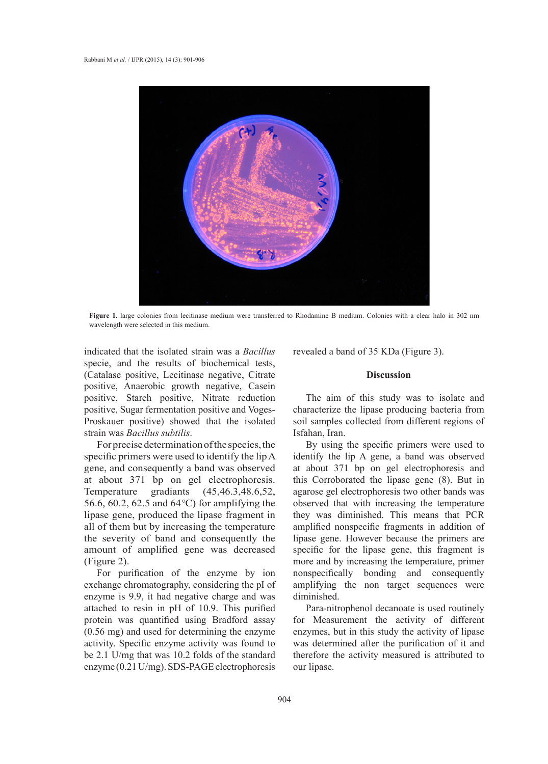

**Figure 1.** large colonies from lecitinase medium were transferred to Rhodamine B medium. Colonies with a clear halo in 302 nm wavelength were selected in this medium.

indicated that the isolated strain was a *Bacillus* specie, and the results of biochemical tests, (Catalase positive, Lecitinase negative, Citrate positive, Anaerobic growth negative, Casein positive, Starch positive, Nitrate reduction positive, Sugar fermentation positive and Voges-Proskauer positive) showed that the isolated strain was *Bacillus subtilis*.

For precise determination of the species, the specific primers were used to identify the lip A gene, and consequently a band was observed at about 371 bp on gel electrophoresis. Temperature gradiants (45,46.3,48.6,52, 56.6, 60.2, 62.5 and 64*°*C) for amplifying the lipase gene, produced the lipase fragment in all of them but by increasing the temperature the severity of band and consequently the amount of amplified gene was decreased (Figure 2).

For purification of the enzyme by ion exchange chromatography, considering the pI of enzyme is 9.9, it had negative charge and was attached to resin in pH of 10.9. This purified protein was quantified using Bradford assay (0.56 mg) and used for determining the enzyme activity. Specific enzyme activity was found to be 2.1 U/mg that was 10.2 folds of the standard enzyme (0.21 U/mg). SDS-PAGE electrophoresis

revealed a band of 35 KDa (Figure 3).

## **Discussion**

The aim of this study was to isolate and characterize the lipase producing bacteria from soil samples collected from different regions of Isfahan, Iran.

By using the specific primers were used to identify the lip A gene, a band was observed at about 371 bp on gel electrophoresis and this Corroborated the lipase gene (8). But in agarose gel electrophoresis two other bands was observed that with increasing the temperature they was diminished. This means that PCR amplified nonspecific fragments in addition of lipase gene. However because the primers are specific for the lipase gene, this fragment is more and by increasing the temperature, primer nonspecifically bonding and consequently amplifying the non target sequences were diminished.

Para-nitrophenol decanoate is used routinely for Measurement the activity of different enzymes, but in this study the activity of lipase was determined after the purification of it and therefore the activity measured is attributed to our lipase.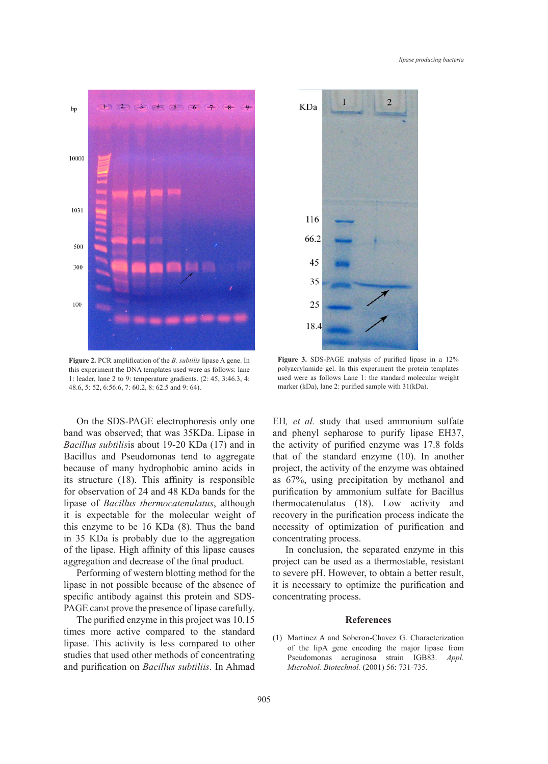

**Figure 2.** PCR amplification of the *B. subtilis* lipase A gene. In this experiment the DNA templates used were as follows: lane 1: leader, lane 2 to 9: temperature gradients. (2: 45, 3:46.3, 4: 48.6, 5: 52, 6:56.6, 7: 60.2, 8: 62.5 and 9: 64).

On the SDS-PAGE electrophoresis only one band was observed; that was 35KDa. Lipase in *Bacillus subtilis*is about 19-20 KDa (17) and in Bacillus and Pseudomonas tend to aggregate because of many hydrophobic amino acids in its structure (18). This affinity is responsible for observation of 24 and 48 KDa bands for the lipase of *Bacillus thermocatenulatus*, although it is expectable for the molecular weight of this enzyme to be 16 KDa (8). Thus the band in 35 KDa is probably due to the aggregation of the lipase. High affinity of this lipase causes aggregation and decrease of the final product.

Performing of western blotting method for the lipase in not possible because of the absence of specific antibody against this protein and SDS-PAGE can<sup>t</sup> prove the presence of lipase carefully.

The purified enzyme in this project was 10.15 times more active compared to the standard lipase. This activity is less compared to other studies that used other methods of concentrating and purification on *Bacillus subtiliis*. In Ahmad



**Figure 3.** SDS-PAGE analysis of purified lipase in a 12% polyacrylamide gel. In this experiment the protein templates used were as follows Lane 1: the standard molecular weight marker (kDa), lane 2: purified sample with 31(kDa).

EH*, et al.* study that used ammonium sulfate and phenyl sepharose to purify lipase EH37, the activity of purified enzyme was 17.8 folds that of the standard enzyme (10). In another project, the activity of the enzyme was obtained as 67%, using precipitation by methanol and purification by ammonium sulfate for Bacillus thermocatenulatus (18). Low activity and recovery in the purification process indicate the necessity of optimization of purification and concentrating process.

In conclusion, the separated enzyme in this project can be used as a thermostable, resistant to severe pH. However, to obtain a better result, it is necessary to optimize the purification and concentrating process.

## **References**

(1) Martinez A and Soberon-Chavez G. Characterization of the lipA gene encoding the major lipase from Pseudomonas aeruginosa strain IGB83. *Appl. Microbiol. Biotechnol.* (2001) 56: 731-735.